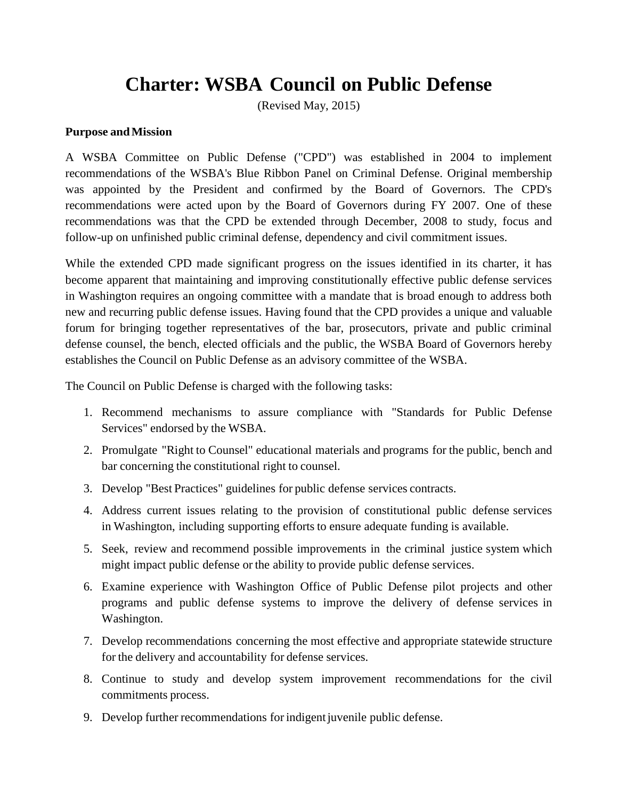# **Charter: WSBA Council on Public Defense**

(Revised May, 2015)

### **Purpose andMission**

A WSBA Committee on Public Defense ("CPD") was established in 2004 to implement recommendations of the WSBA's Blue Ribbon Panel on Criminal Defense. Original membership was appointed by the President and confirmed by the Board of Governors. The CPD's recommendations were acted upon by the Board of Governors during FY 2007. One of these recommendations was that the CPD be extended through December, 2008 to study, focus and follow-up on unfinished public criminal defense, dependency and civil commitment issues.

While the extended CPD made significant progress on the issues identified in its charter, it has become apparent that maintaining and improving constitutionally effective public defense services in Washington requires an ongoing committee with a mandate that is broad enough to address both new and recurring public defense issues. Having found that the CPD provides a unique and valuable forum for bringing together representatives of the bar, prosecutors, private and public criminal defense counsel, the bench, elected officials and the public, the WSBA Board of Governors hereby establishes the Council on Public Defense as an advisory committee of the WSBA.

The Council on Public Defense is charged with the following tasks:

- 1. Recommend mechanisms to assure compliance with "Standards for Public Defense Services" endorsed by the WSBA.
- 2. Promulgate "Right to Counsel" educational materials and programs for the public, bench and bar concerning the constitutional right to counsel.
- 3. Develop "Best Practices" guidelines for public defense services contracts.
- 4. Address current issues relating to the provision of constitutional public defense services in Washington, including supporting efforts to ensure adequate funding is available.
- 5. Seek, review and recommend possible improvements in the criminal justice system which might impact public defense or the ability to provide public defense services.
- 6. Examine experience with Washington Office of Public Defense pilot projects and other programs and public defense systems to improve the delivery of defense services in Washington.
- 7. Develop recommendations concerning the most effective and appropriate statewide structure for the delivery and accountability for defense services.
- 8. Continue to study and develop system improvement recommendations for the civil commitments process.
- 9. Develop further recommendations for indigent juvenile public defense.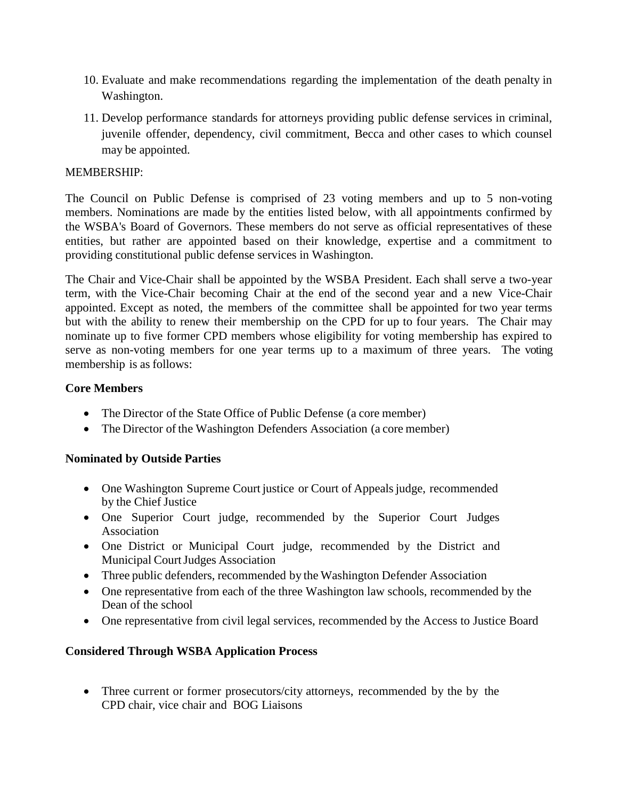- 10. Evaluate and make recommendations regarding the implementation of the death penalty in Washington.
- 11. Develop performance standards for attorneys providing public defense services in criminal, juvenile offender, dependency, civil commitment, Becca and other cases to which counsel may be appointed.

### MEMBERSHIP:

The Council on Public Defense is comprised of 23 voting members and up to 5 non-voting members. Nominations are made by the entities listed below, with all appointments confirmed by the WSBA's Board of Governors. These members do not serve as official representatives of these entities, but rather are appointed based on their knowledge, expertise and a commitment to providing constitutional public defense services in Washington.

The Chair and Vice-Chair shall be appointed by the WSBA President. Each shall serve a two-year term, with the Vice-Chair becoming Chair at the end of the second year and a new Vice-Chair appointed. Except as noted, the members of the committee shall be appointed for two year terms but with the ability to renew their membership on the CPD for up to four years. The Chair may nominate up to five former CPD members whose eligibility for voting membership has expired to serve as non-voting members for one year terms up to a maximum of three years. The voting membership is as follows:

# **Core Members**

- The Director of the State Office of Public Defense (a core member)
- The Director of the Washington Defenders Association (a core member)

# **Nominated by Outside Parties**

- One Washington Supreme Court justice or Court of Appeals judge, recommended by the Chief Justice
- One Superior Court judge, recommended by the Superior Court Judges Association
- One District or Municipal Court judge, recommended by the District and Municipal CourtJudges Association
- Three public defenders, recommended by the Washington Defender Association
- One representative from each of the three Washington law schools, recommended by the Dean of the school
- One representative from civil legal services, recommended by the Access to Justice Board

# **Considered Through WSBA Application Process**

• Three current or former prosecutors/city attorneys, recommended by the by the CPD chair, vice chair and BOG Liaisons